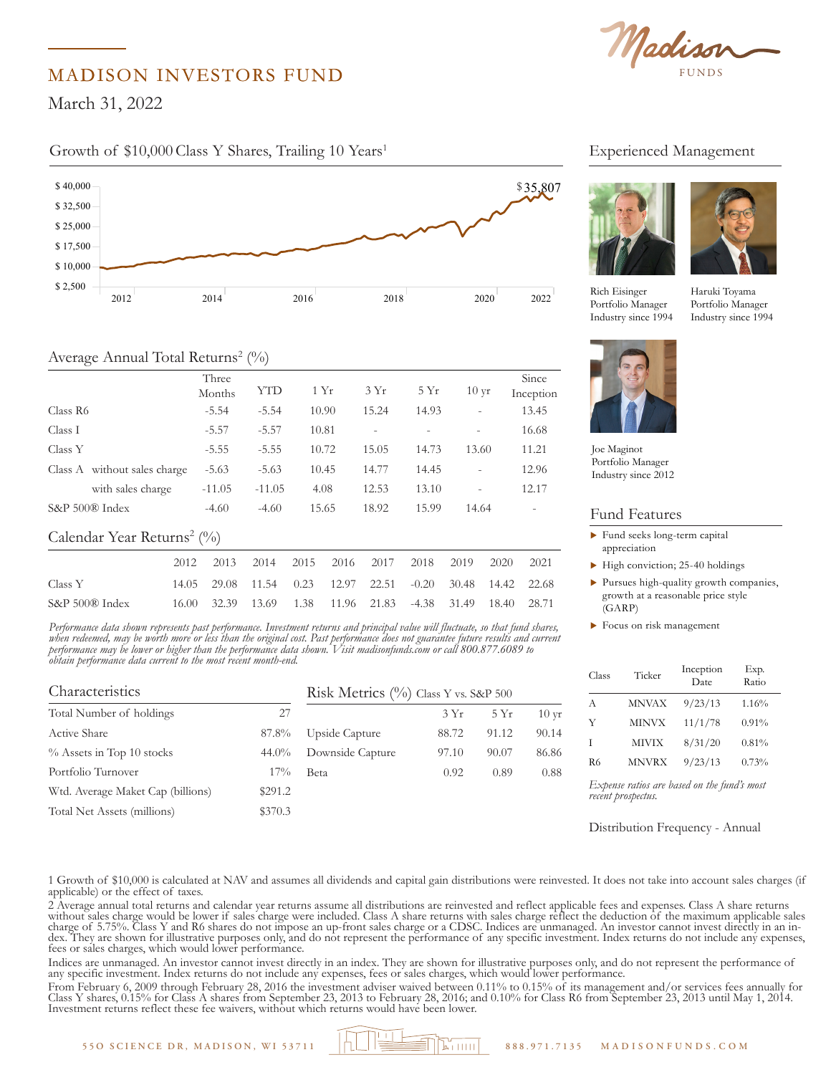

### MADISON INVESTORS FUND

 $1, 2022$ March 31, 2022

\$ 17,500

# Growth of \$10,000 Class Y Shares, Trailing 10 Years<sup>1</sup>



### Average Annual Total Returns<sup>2</sup> (%)

| $\smile$                               |                 | $\overline{\phantom{a}}$ |       |                |         |                          |                    |
|----------------------------------------|-----------------|--------------------------|-------|----------------|---------|--------------------------|--------------------|
|                                        | Three<br>Months | YTD                      | 1Yr   | 3Yr            | 5Yr     | $10 \text{ yr}$          | Since<br>Inception |
| Class R6                               | $-5.54$         | $-5.54$                  | 10.90 | 15.24          | 14.93   |                          | 13.45              |
| Class I                                | $-5.57$         | $-5.57$                  | 10.81 | $\overline{a}$ |         | $\overline{\phantom{a}}$ | 16.68              |
| Class Y                                | $-5.55$         | $-5.55$                  | 10.72 | 15.05<br>14.73 |         | 13.60                    | 11.21              |
| Class A without sales charge           | $-5.63$         | $-5.63$                  | 10.45 | 14.77          | 14.45   |                          | 12.96              |
| with sales charge                      | $-11.05$        | $-11.05$                 | 4.08  | 12.53          | 13.10   |                          | 12.17              |
| S&P 500® Index                         | $-4.60$         | $-4.60$                  | 15.65 | 18.92          | 15.99   | 14.64                    |                    |
| Calendar Year Returns <sup>2</sup> (%) |                 |                          |       |                |         |                          |                    |
|                                        | 2012<br>2013    | 2014                     | 2015  | 2016<br>2017   | 2018    | 2019                     | 2020<br>2021       |
| Class Y                                | 29.08<br>14.05  | 11.54                    | 0.23  | 12.97<br>22.51 | $-0.20$ | 30.48                    | 14.42<br>22.68     |
| S&P 500® Index                         | 16.00<br>32.39  | 13.69                    | 1.38  | 11.96<br>21.83 | $-4.38$ | 31.49                    | 18.40<br>28.71     |

erforman rerjormance aaia soown represents past perjormance. Investment returns and principat vaiue witt juictuate, so tout juna soares,<br>when redeemed, may be worth more or less than the original cost. Past performance does not gua *Performance data shown represents past performance. Investment returns and principal value will fluctuate, so that fund shares, performance may be lower or higher than the performance data shown. Visit madisonfunds.com or call 800.877.6089 to obtain performance data current to the most recent month-end.*

| Characteristics                   | Risk Metrics (%) Class Y vs. S&P 500 |                  |       |       |                 |
|-----------------------------------|--------------------------------------|------------------|-------|-------|-----------------|
| Total Number of holdings          | 27                                   |                  | 3Yr   | 5Yr   | $10 \text{ yr}$ |
| Active Share                      | 87.8%                                | Upside Capture   | 88.72 | 91.12 | 90.14           |
| $\%$ Assets in Top 10 stocks      | $44.0\%$                             | Downside Capture | 97.10 | 90.07 | 86.86           |
| Portfolio Turnover                | $17\%$                               | <b>Beta</b>      | 0.92  | 0.89  | 0.88            |
| Wtd. Average Maket Cap (billions) | \$291.2                              |                  |       |       |                 |
| Total Net Assets (millions)       | \$370.3                              |                  |       |       |                 |
|                                   |                                      |                  |       |       |                 |

## Experienced Management





10ttono Manager<br>Industry since 1994 Rich Eisinger Portfolio Manager

nonger and the community of the control of the control of the control of the control of the control of the control of the control of the control of the control of the control of the control of the control of the control of Haruki Toyama Industry since 1994



Portfolio Manager Joe Maginot Industry since 2012

#### Fund Features  $\overline{\phantom{a}}$

- $\blacktriangleright$  Fund seeks long-term capital appreciation
- $\blacktriangleright$  High conviction; 25-40 holdings \$ 18,000
	- $\blacktriangleright$  Pursues high-quality growth companies, growth at a reasonable price style (GARP)
- $\blacktriangleright$  Focus on risk management \$ 12,000

| Class          | Ticker       | Inception<br>Date | Exp.<br>Ratio |
|----------------|--------------|-------------------|---------------|
| А              | <b>MNVAX</b> | 9/23/13           | $1.16\%$      |
| Y              | <b>MINVX</b> | 11/1/78           | 0.91%         |
| Ι              | <b>MIVIX</b> | 8/31/20           | 0.81%         |
| R <sub>6</sub> | <b>MNVRX</b> | 9/23/13           | 0.73%         |

*Expense ratios are based on the fund's most recent prospectus.*

Distribution Frequency - Annual

1 Growth of \$10,000 is calculated at NAV and assumes all dividends and capital gain distributions were reinvested. It does not take into account sales charges (if applicable) or the effect of taxes.

2 Average annual total returns and calendar year returns assume all distributions are reinvested and reflect applicable fees and expenses. Class A share returns Extremely without sales charge would be lower if sales charge were included. Class A share returns with sales charge reflect the deduction of the maximum applicable sales charge of 5.75%. Class Y and R6 shares do not impos dex. They are shown for illustrative purposes only, and do not represent the performance of any specific investment. Index returns do not include any expenses, fees or sales charges, which would lower performance.

Indices are unmanaged. An investor cannot invest directly in an index. They are shown for illustrative purposes only, and do not represent the performance of any specific investment. Index returns do not include any expenses, fees or sales charges, which would lower performance.

From February 6, 2009 through February 28, 2016 the investment adviser waived between 0.11% to 0.15% of its management and/or services fees annually for Class Y shares, 0.15% for Class A shares from September 23, 2013 to February 28, 2016; and 0.10% for Class R6 from September 23, 2013 until May 1, 2014. Investment returns reflect these fee waivers, without which returns would have been lower.